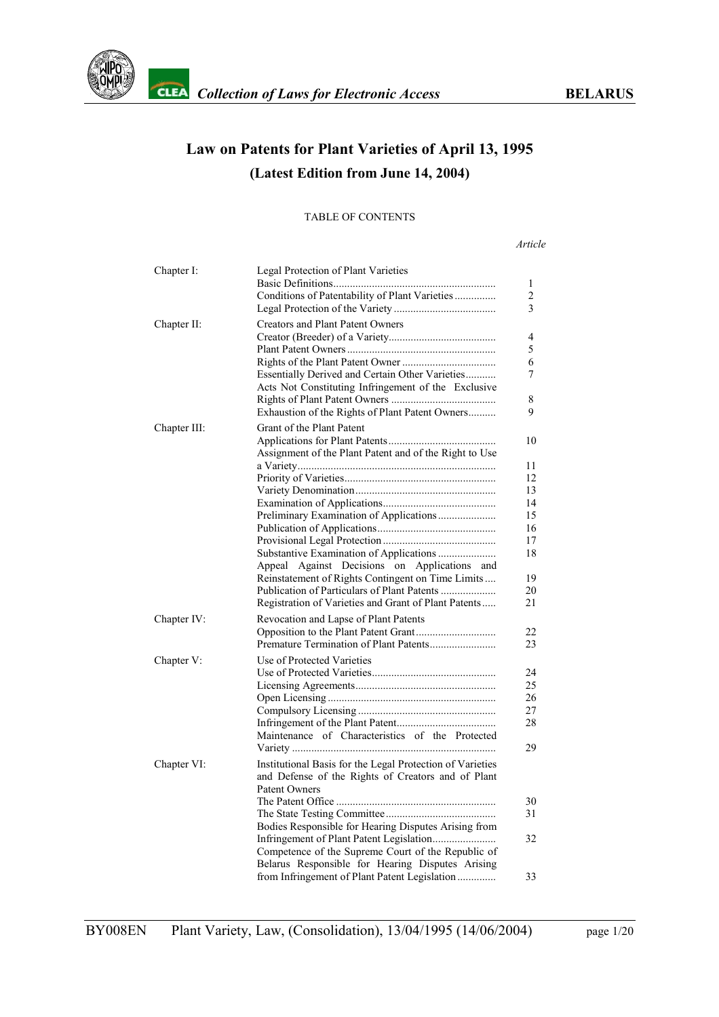

# **Law on Patents for Plant Varieties of April 13, 1995 (Latest Edition from June 14, 2004)**

#### TABLE OF CONTENTS

*Article*

| Chapter I:   | Legal Protection of Plant Varieties<br>Conditions of Patentability of Plant Varieties                                                                                                                                                                                                                                                               | 1<br>$\overline{c}$<br>3                                             |
|--------------|-----------------------------------------------------------------------------------------------------------------------------------------------------------------------------------------------------------------------------------------------------------------------------------------------------------------------------------------------------|----------------------------------------------------------------------|
| Chapter II:  | <b>Creators and Plant Patent Owners</b><br>Essentially Derived and Certain Other Varieties<br>Acts Not Constituting Infringement of the Exclusive<br>Exhaustion of the Rights of Plant Patent Owners                                                                                                                                                | 4<br>5<br>6<br>7<br>8<br>9                                           |
| Chapter III: | Grant of the Plant Patent<br>Assignment of the Plant Patent and of the Right to Use<br>Preliminary Examination of Applications<br>Against Decisions on Applications and<br>Appeal<br>Reinstatement of Rights Contingent on Time Limits<br>Publication of Particulars of Plant Patents<br>Registration of Varieties and Grant of Plant Patents       | 10<br>11<br>12<br>13<br>14<br>15<br>16<br>17<br>18<br>19<br>20<br>21 |
| Chapter IV:  | Revocation and Lapse of Plant Patents<br>Premature Termination of Plant Patents                                                                                                                                                                                                                                                                     | 22<br>23                                                             |
| Chapter V:   | Use of Protected Varieties<br>Maintenance of Characteristics of the Protected                                                                                                                                                                                                                                                                       | 24<br>25<br>26<br>27<br>28<br>29                                     |
| Chapter VI:  | Institutional Basis for the Legal Protection of Varieties<br>and Defense of the Rights of Creators and of Plant<br>Patent Owners<br>Bodies Responsible for Hearing Disputes Arising from<br>Competence of the Supreme Court of the Republic of<br>Belarus Responsible for Hearing Disputes Arising<br>from Infringement of Plant Patent Legislation | 30<br>31<br>32<br>33                                                 |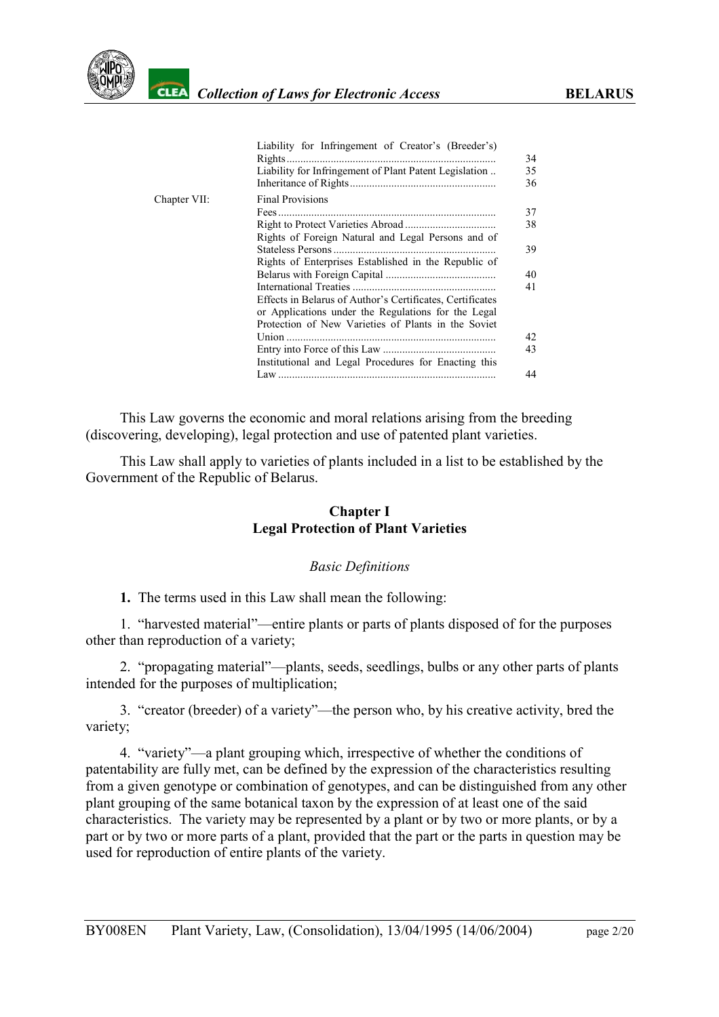

|              | Liability for Infringement of Creator's (Breeder's)<br>Rights.                                             | 34<br>35 |
|--------------|------------------------------------------------------------------------------------------------------------|----------|
|              | Liability for Infringement of Plant Patent Legislation                                                     | 36       |
| Chapter VII: | <b>Final Provisions</b>                                                                                    |          |
|              |                                                                                                            | 37       |
|              |                                                                                                            | 38       |
|              | Rights of Foreign Natural and Legal Persons and of                                                         | 39       |
|              | Rights of Enterprises Established in the Republic of                                                       |          |
|              |                                                                                                            | 40       |
|              |                                                                                                            | 41       |
|              | Effects in Belarus of Author's Certificates, Certificates                                                  |          |
|              | or Applications under the Regulations for the Legal<br>Protection of New Varieties of Plants in the Soviet |          |
|              | Union                                                                                                      | 42       |
|              |                                                                                                            | 43       |
|              | Institutional and Legal Procedures for Enacting this                                                       |          |
|              |                                                                                                            | 44       |

This Law governs the economic and moral relations arising from the breeding (discovering, developing), legal protection and use of patented plant varieties.

This Law shall apply to varieties of plants included in a list to be established by the Government of the Republic of Belarus.

#### **Chapter I Legal Protection of Plant Varieties**

#### *Basic Definitions*

<span id="page-1-0"></span>**1.** The terms used in this Law shall mean the following:

1. "harvested material"—entire plants or parts of plants disposed of for the purposes other than reproduction of a variety;

2. "propagating material"—plants, seeds, seedlings, bulbs or any other parts of plants intended for the purposes of multiplication;

3. "creator (breeder) of a variety"—the person who, by his creative activity, bred the variety;

4. "variety"—a plant grouping which, irrespective of whether the conditions of patentability are fully met, can be defined by the expression of the characteristics resulting from a given genotype or combination of genotypes, and can be distinguished from any other plant grouping of the same botanical taxon by the expression of at least one of the said characteristics. The variety may be represented by a plant or by two or more plants, or by a part or by two or more parts of a plant, provided that the part or the parts in question may be used for reproduction of entire plants of the variety.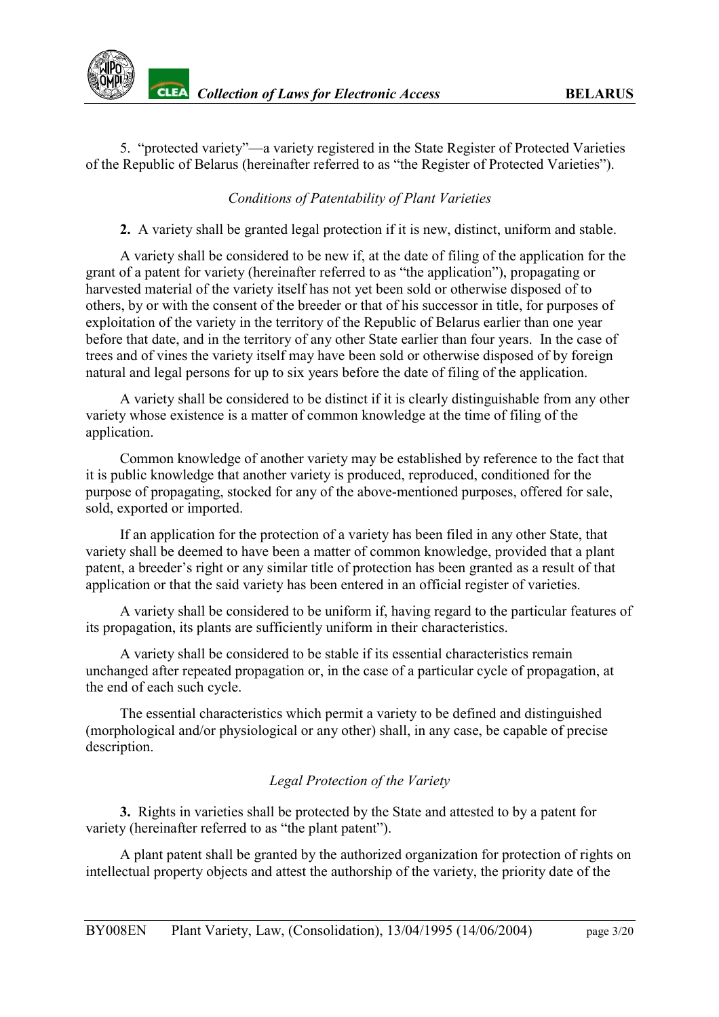5. "protected variety"—a variety registered in the State Register of Protected Varieties of the Republic of Belarus (hereinafter referred to as "the Register of Protected Varieties").

### *Conditions of Patentability of Plant Varieties*

<span id="page-2-0"></span>**2.** A variety shall be granted legal protection if it is new, distinct, uniform and stable.

A variety shall be considered to be new if, at the date of filing of the application for the grant of a patent for variety (hereinafter referred to as "the application"), propagating or harvested material of the variety itself has not yet been sold or otherwise disposed of to others, by or with the consent of the breeder or that of his successor in title, for purposes of exploitation of the variety in the territory of the Republic of Belarus earlier than one year before that date, and in the territory of any other State earlier than four years. In the case of trees and of vines the variety itself may have been sold or otherwise disposed of by foreign natural and legal persons for up to six years before the date of filing of the application.

A variety shall be considered to be distinct if it is clearly distinguishable from any other variety whose existence is a matter of common knowledge at the time of filing of the application.

Common knowledge of another variety may be established by reference to the fact that it is public knowledge that another variety is produced, reproduced, conditioned for the purpose of propagating, stocked for any of the above-mentioned purposes, offered for sale, sold, exported or imported.

If an application for the protection of a variety has been filed in any other State, that variety shall be deemed to have been a matter of common knowledge, provided that a plant patent, a breeder's right or any similar title of protection has been granted as a result of that application or that the said variety has been entered in an official register of varieties.

A variety shall be considered to be uniform if, having regard to the particular features of its propagation, its plants are sufficiently uniform in their characteristics.

A variety shall be considered to be stable if its essential characteristics remain unchanged after repeated propagation or, in the case of a particular cycle of propagation, at the end of each such cycle.

The essential characteristics which permit a variety to be defined and distinguished (morphological and/or physiological or any other) shall, in any case, be capable of precise description.

### *Legal Protection of the Variety*

<span id="page-2-1"></span>**3.** Rights in varieties shall be protected by the State and attested to by a patent for variety (hereinafter referred to as "the plant patent").

A plant patent shall be granted by the authorized organization for protection of rights on intellectual property objects and attest the authorship of the variety, the priority date of the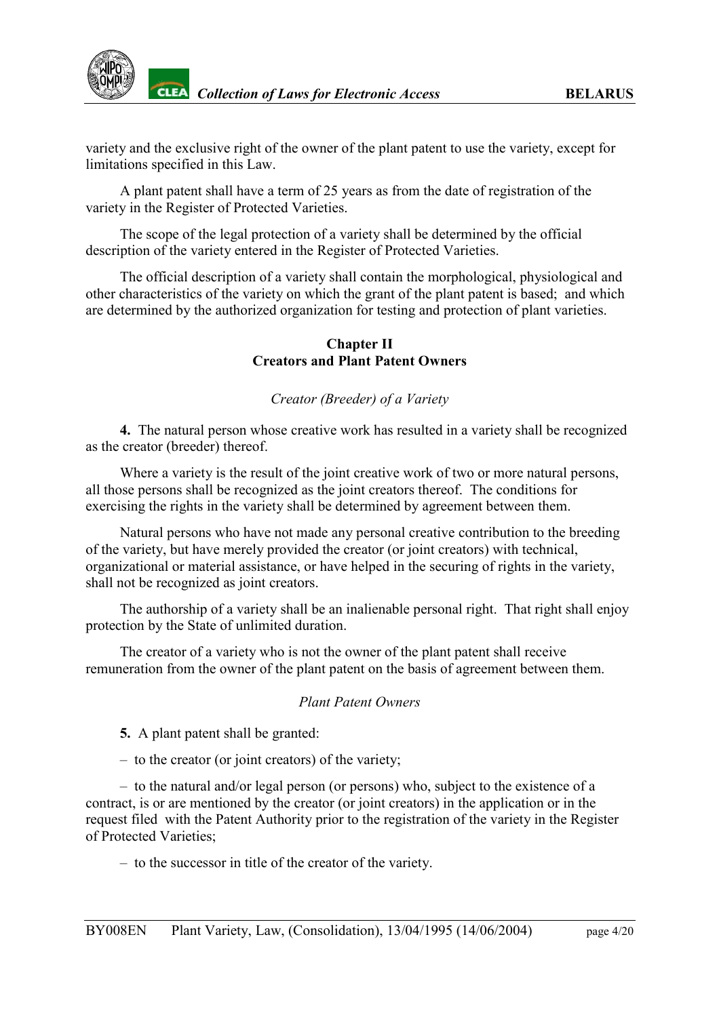variety and the exclusive right of the owner of the plant patent to use the variety, except for limitations specified in this Law.

A plant patent shall have a term of 25 years as from the date of registration of the variety in the Register of Protected Varieties.

The scope of the legal protection of a variety shall be determined by the official description of the variety entered in the Register of Protected Varieties.

The official description of a variety shall contain the morphological, physiological and other characteristics of the variety on which the grant of the plant patent is based; and which are determined by the authorized organization for testing and protection of plant varieties.

#### **Chapter II Creators and Plant Patent Owners**

### *Creator (Breeder) of a Variety*

<span id="page-3-0"></span>**4.** The natural person whose creative work has resulted in a variety shall be recognized as the creator (breeder) thereof.

Where a variety is the result of the joint creative work of two or more natural persons, all those persons shall be recognized as the joint creators thereof. The conditions for exercising the rights in the variety shall be determined by agreement between them.

Natural persons who have not made any personal creative contribution to the breeding of the variety, but have merely provided the creator (or joint creators) with technical, organizational or material assistance, or have helped in the securing of rights in the variety, shall not be recognized as joint creators.

The authorship of a variety shall be an inalienable personal right. That right shall enjoy protection by the State of unlimited duration.

The creator of a variety who is not the owner of the plant patent shall receive remuneration from the owner of the plant patent on the basis of agreement between them.

#### *Plant Patent Owners*

<span id="page-3-1"></span>**5.** A plant patent shall be granted:

– to the creator (or joint creators) of the variety;

– to the natural and/or legal person (or persons) who, subject to the existence of a contract, is or are mentioned by the creator (or joint creators) in the application or in the request filed with the Patent Authority prior to the registration of the variety in the Register of Protected Varieties;

– to the successor in title of the creator of the variety.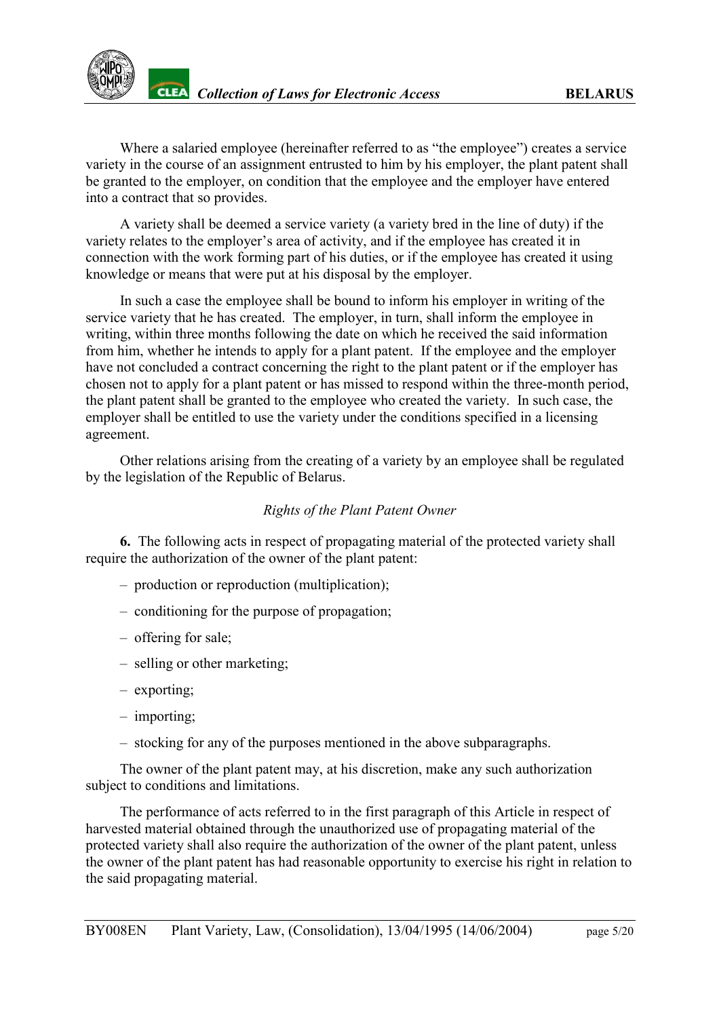

Where a salaried employee (hereinafter referred to as "the employee") creates a service variety in the course of an assignment entrusted to him by his employer, the plant patent shall be granted to the employer, on condition that the employee and the employer have entered into a contract that so provides.

A variety shall be deemed a service variety (a variety bred in the line of duty) if the variety relates to the employer's area of activity, and if the employee has created it in connection with the work forming part of his duties, or if the employee has created it using knowledge or means that were put at his disposal by the employer.

In such a case the employee shall be bound to inform his employer in writing of the service variety that he has created. The employer, in turn, shall inform the employee in writing, within three months following the date on which he received the said information from him, whether he intends to apply for a plant patent. If the employee and the employer have not concluded a contract concerning the right to the plant patent or if the employer has chosen not to apply for a plant patent or has missed to respond within the three-month period, the plant patent shall be granted to the employee who created the variety. In such case, the employer shall be entitled to use the variety under the conditions specified in a licensing agreement.

Other relations arising from the creating of a variety by an employee shall be regulated by the legislation of the Republic of Belarus.

#### *Rights of the Plant Patent Owner*

<span id="page-4-0"></span>**6.** The following acts in respect of propagating material of the protected variety shall require the authorization of the owner of the plant patent:

- production or reproduction (multiplication);
- conditioning for the purpose of propagation;
- offering for sale;
- selling or other marketing;
- exporting;
- importing;
- stocking for any of the purposes mentioned in the above subparagraphs.

The owner of the plant patent may, at his discretion, make any such authorization subject to conditions and limitations.

The performance of acts referred to in the first paragraph of this Article in respect of harvested material obtained through the unauthorized use of propagating material of the protected variety shall also require the authorization of the owner of the plant patent, unless the owner of the plant patent has had reasonable opportunity to exercise his right in relation to the said propagating material.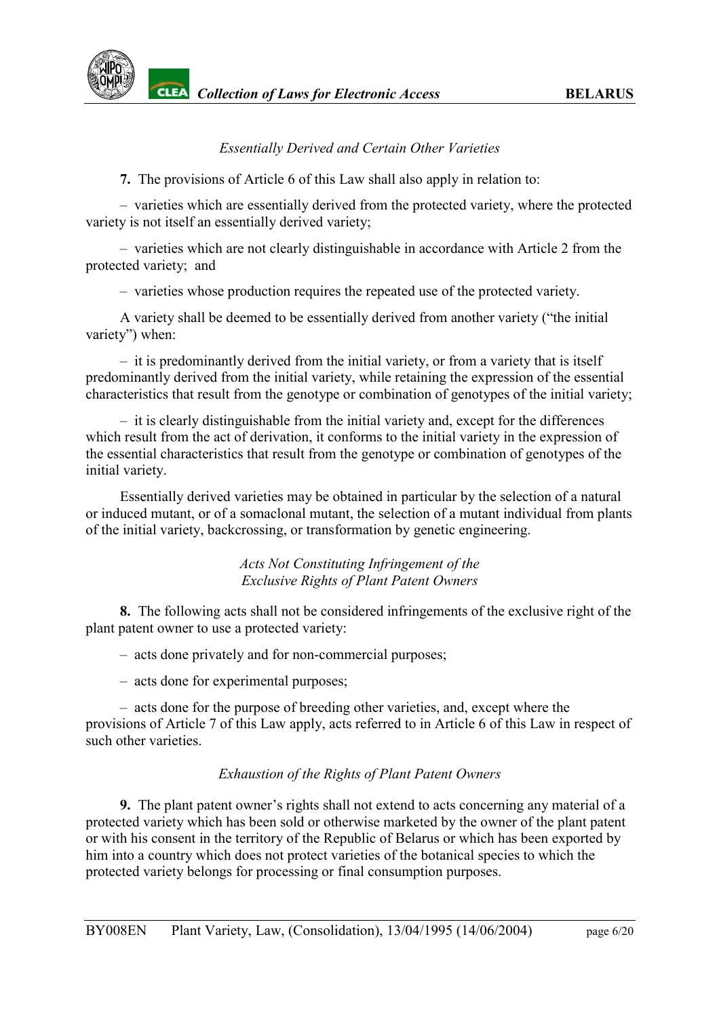### *Essentially Derived and Certain Other Varieties*

<span id="page-5-0"></span>**7.** The provisions of Article 6 of this Law shall also apply in relation to:

– varieties which are essentially derived from the protected variety, where the protected variety is not itself an essentially derived variety;

– varieties which are not clearly distinguishable in accordance with Article 2 from the protected variety; and

– varieties whose production requires the repeated use of the protected variety.

A variety shall be deemed to be essentially derived from another variety ("the initial variety") when:

– it is predominantly derived from the initial variety, or from a variety that is itself predominantly derived from the initial variety, while retaining the expression of the essential characteristics that result from the genotype or combination of genotypes of the initial variety;

– it is clearly distinguishable from the initial variety and, except for the differences which result from the act of derivation, it conforms to the initial variety in the expression of the essential characteristics that result from the genotype or combination of genotypes of the initial variety.

Essentially derived varieties may be obtained in particular by the selection of a natural or induced mutant, or of a somaclonal mutant, the selection of a mutant individual from plants of the initial variety, backcrossing, or transformation by genetic engineering.

> *Acts Not Constituting Infringement of the Exclusive Rights of Plant Patent Owners*

<span id="page-5-1"></span>**8.** The following acts shall not be considered infringements of the exclusive right of the plant patent owner to use a protected variety:

– acts done privately and for non-commercial purposes;

– acts done for experimental purposes;

– acts done for the purpose of breeding other varieties, and, except where the provisions of Article 7 of this Law apply, acts referred to in Article 6 of this Law in respect of such other varieties.

### *Exhaustion of the Rights of Plant Patent Owners*

<span id="page-5-2"></span>**9.** The plant patent owner's rights shall not extend to acts concerning any material of a protected variety which has been sold or otherwise marketed by the owner of the plant patent or with his consent in the territory of the Republic of Belarus or which has been exported by him into a country which does not protect varieties of the botanical species to which the protected variety belongs for processing or final consumption purposes.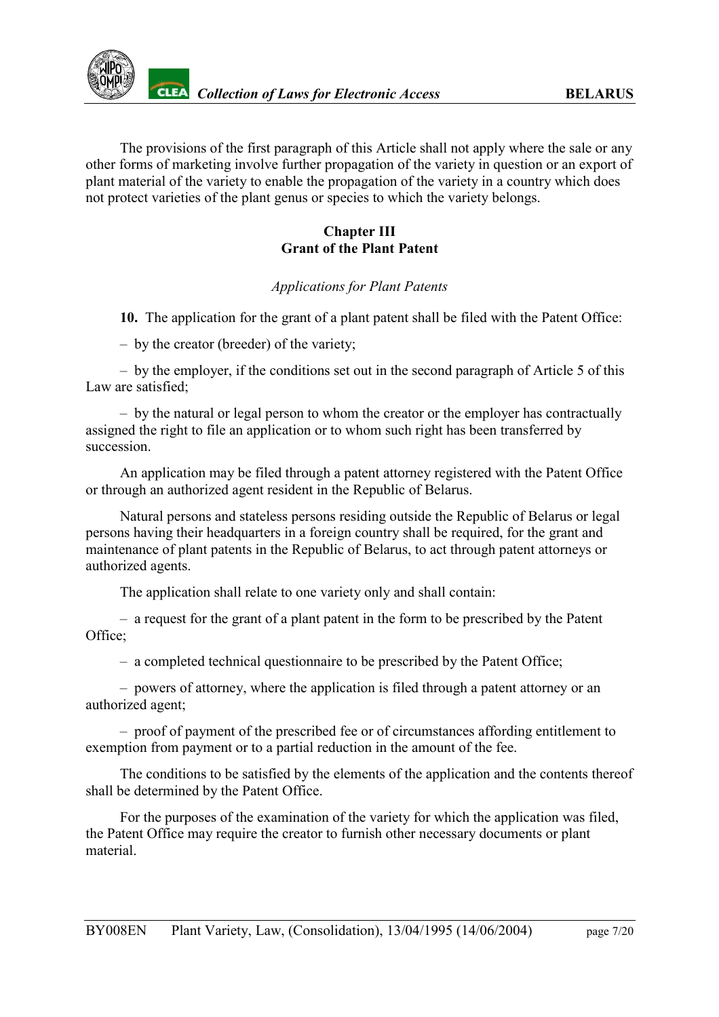

The provisions of the first paragraph of this Article shall not apply where the sale or any other forms of marketing involve further propagation of the variety in question or an export of plant material of the variety to enable the propagation of the variety in a country which does not protect varieties of the plant genus or species to which the variety belongs.

### **Chapter III Grant of the Plant Patent**

#### *Applications for Plant Patents*

<span id="page-6-0"></span>**10.** The application for the grant of a plant patent shall be filed with the Patent Office:

– by the creator (breeder) of the variety;

– by the employer, if the conditions set out in the second paragraph of Article 5 of this Law are satisfied;

– by the natural or legal person to whom the creator or the employer has contractually assigned the right to file an application or to whom such right has been transferred by succession.

An application may be filed through a patent attorney registered with the Patent Office or through an authorized agent resident in the Republic of Belarus.

Natural persons and stateless persons residing outside the Republic of Belarus or legal persons having their headquarters in a foreign country shall be required, for the grant and maintenance of plant patents in the Republic of Belarus, to act through patent attorneys or authorized agents.

The application shall relate to one variety only and shall contain:

– a request for the grant of a plant patent in the form to be prescribed by the Patent Office;

– a completed technical questionnaire to be prescribed by the Patent Office;

– powers of attorney, where the application is filed through a patent attorney or an authorized agent;

– proof of payment of the prescribed fee or of circumstances affording entitlement to exemption from payment or to a partial reduction in the amount of the fee.

The conditions to be satisfied by the elements of the application and the contents thereof shall be determined by the Patent Office.

For the purposes of the examination of the variety for which the application was filed, the Patent Office may require the creator to furnish other necessary documents or plant material.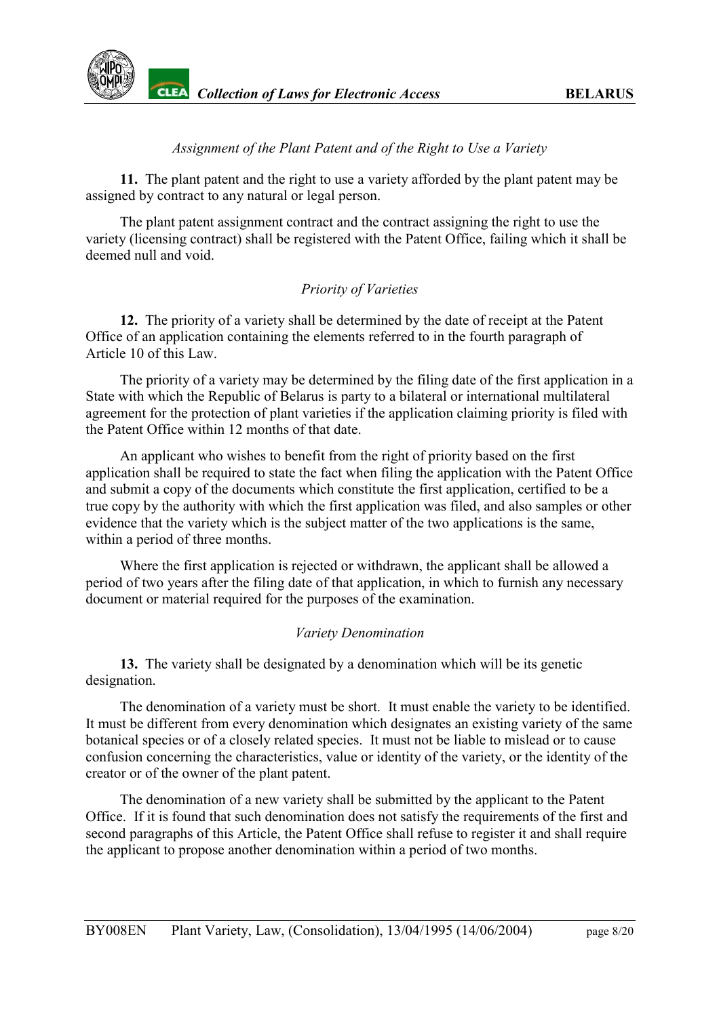

### *Assignment of the Plant Patent and of the Right to Use a Variety*

<span id="page-7-0"></span>**11.** The plant patent and the right to use a variety afforded by the plant patent may be assigned by contract to any natural or legal person.

The plant patent assignment contract and the contract assigning the right to use the variety (licensing contract) shall be registered with the Patent Office, failing which it shall be deemed null and void.

### *Priority of Varieties*

<span id="page-7-1"></span>**12.** The priority of a variety shall be determined by the date of receipt at the Patent Office of an application containing the elements referred to in the fourth paragraph of Article 10 of this Law.

The priority of a variety may be determined by the filing date of the first application in a State with which the Republic of Belarus is party to a bilateral or international multilateral agreement for the protection of plant varieties if the application claiming priority is filed with the Patent Office within 12 months of that date.

An applicant who wishes to benefit from the right of priority based on the first application shall be required to state the fact when filing the application with the Patent Office and submit a copy of the documents which constitute the first application, certified to be a true copy by the authority with which the first application was filed, and also samples or other evidence that the variety which is the subject matter of the two applications is the same, within a period of three months.

Where the first application is rejected or withdrawn, the applicant shall be allowed a period of two years after the filing date of that application, in which to furnish any necessary document or material required for the purposes of the examination.

#### *Variety Denomination*

<span id="page-7-2"></span>**13.** The variety shall be designated by a denomination which will be its genetic designation.

The denomination of a variety must be short. It must enable the variety to be identified. It must be different from every denomination which designates an existing variety of the same botanical species or of a closely related species. It must not be liable to mislead or to cause confusion concerning the characteristics, value or identity of the variety, or the identity of the creator or of the owner of the plant patent.

The denomination of a new variety shall be submitted by the applicant to the Patent Office. If it is found that such denomination does not satisfy the requirements of the first and second paragraphs of this Article, the Patent Office shall refuse to register it and shall require the applicant to propose another denomination within a period of two months.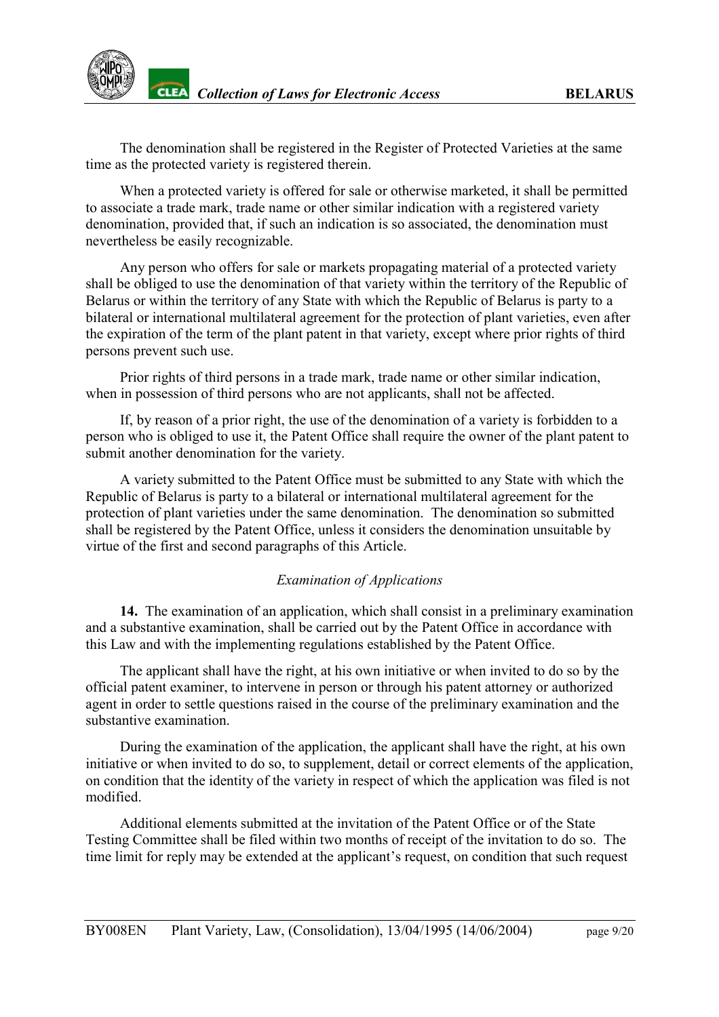

**THE** *Collection of Laws for Electronic Access* **BELARUS** 

The denomination shall be registered in the Register of Protected Varieties at the same time as the protected variety is registered therein.

When a protected variety is offered for sale or otherwise marketed, it shall be permitted to associate a trade mark, trade name or other similar indication with a registered variety denomination, provided that, if such an indication is so associated, the denomination must nevertheless be easily recognizable.

Any person who offers for sale or markets propagating material of a protected variety shall be obliged to use the denomination of that variety within the territory of the Republic of Belarus or within the territory of any State with which the Republic of Belarus is party to a bilateral or international multilateral agreement for the protection of plant varieties, even after the expiration of the term of the plant patent in that variety, except where prior rights of third persons prevent such use.

Prior rights of third persons in a trade mark, trade name or other similar indication, when in possession of third persons who are not applicants, shall not be affected.

If, by reason of a prior right, the use of the denomination of a variety is forbidden to a person who is obliged to use it, the Patent Office shall require the owner of the plant patent to submit another denomination for the variety.

A variety submitted to the Patent Office must be submitted to any State with which the Republic of Belarus is party to a bilateral or international multilateral agreement for the protection of plant varieties under the same denomination. The denomination so submitted shall be registered by the Patent Office, unless it considers the denomination unsuitable by virtue of the first and second paragraphs of this Article.

#### *Examination of Applications*

<span id="page-8-0"></span>**14.** The examination of an application, which shall consist in a preliminary examination and a substantive examination, shall be carried out by the Patent Office in accordance with this Law and with the implementing regulations established by the Patent Office.

The applicant shall have the right, at his own initiative or when invited to do so by the official patent examiner, to intervene in person or through his patent attorney or authorized agent in order to settle questions raised in the course of the preliminary examination and the substantive examination.

During the examination of the application, the applicant shall have the right, at his own initiative or when invited to do so, to supplement, detail or correct elements of the application, on condition that the identity of the variety in respect of which the application was filed is not modified.

Additional elements submitted at the invitation of the Patent Office or of the State Testing Committee shall be filed within two months of receipt of the invitation to do so. The time limit for reply may be extended at the applicant's request, on condition that such request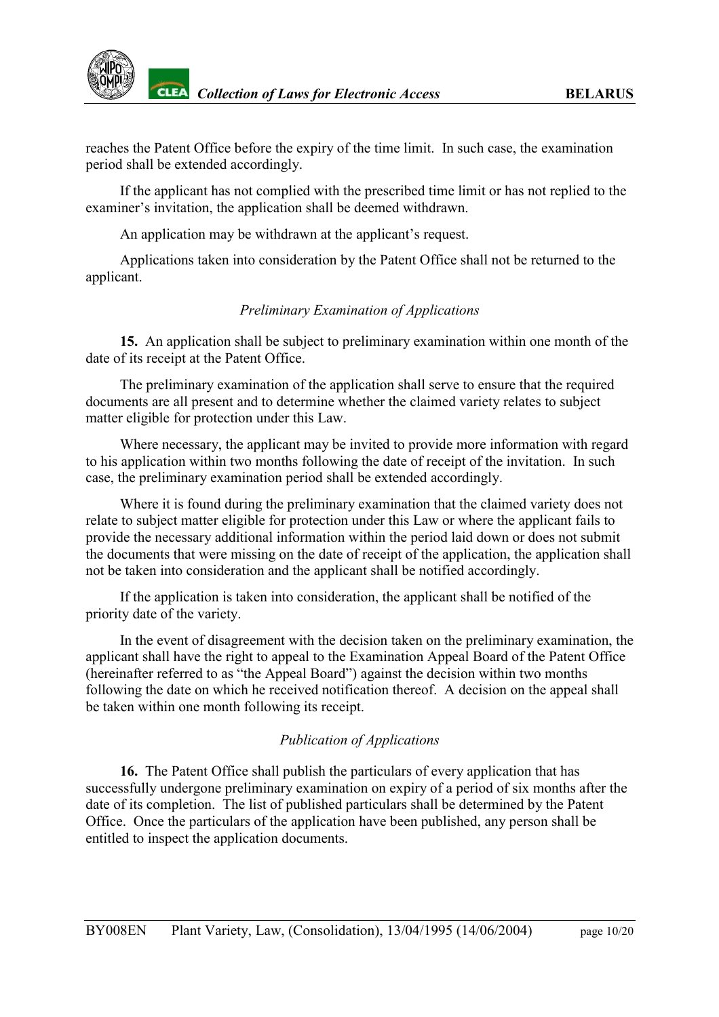

reaches the Patent Office before the expiry of the time limit. In such case, the examination period shall be extended accordingly.

If the applicant has not complied with the prescribed time limit or has not replied to the examiner's invitation, the application shall be deemed withdrawn.

An application may be withdrawn at the applicant's request.

Applications taken into consideration by the Patent Office shall not be returned to the applicant.

### *Preliminary Examination of Applications*

<span id="page-9-0"></span>**15.** An application shall be subject to preliminary examination within one month of the date of its receipt at the Patent Office.

The preliminary examination of the application shall serve to ensure that the required documents are all present and to determine whether the claimed variety relates to subject matter eligible for protection under this Law.

Where necessary, the applicant may be invited to provide more information with regard to his application within two months following the date of receipt of the invitation. In such case, the preliminary examination period shall be extended accordingly.

Where it is found during the preliminary examination that the claimed variety does not relate to subject matter eligible for protection under this Law or where the applicant fails to provide the necessary additional information within the period laid down or does not submit the documents that were missing on the date of receipt of the application, the application shall not be taken into consideration and the applicant shall be notified accordingly.

If the application is taken into consideration, the applicant shall be notified of the priority date of the variety.

In the event of disagreement with the decision taken on the preliminary examination, the applicant shall have the right to appeal to the Examination Appeal Board of the Patent Office (hereinafter referred to as "the Appeal Board") against the decision within two months following the date on which he received notification thereof. A decision on the appeal shall be taken within one month following its receipt.

### *Publication of Applications*

<span id="page-9-1"></span>**16.** The Patent Office shall publish the particulars of every application that has successfully undergone preliminary examination on expiry of a period of six months after the date of its completion. The list of published particulars shall be determined by the Patent Office. Once the particulars of the application have been published, any person shall be entitled to inspect the application documents.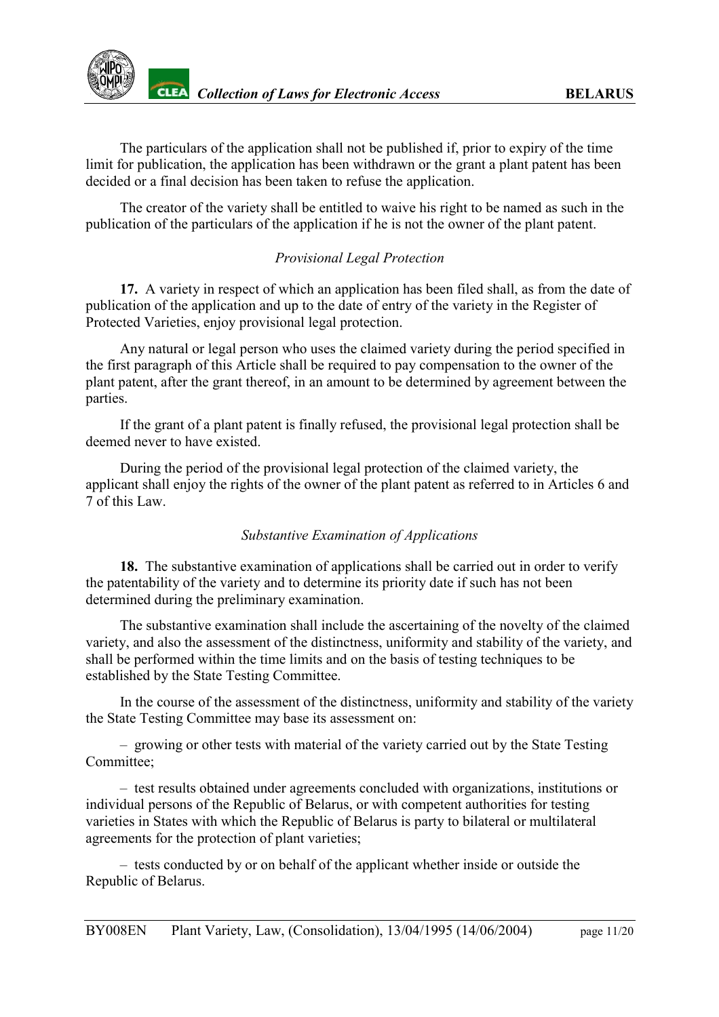

The particulars of the application shall not be published if, prior to expiry of the time limit for publication, the application has been withdrawn or the grant a plant patent has been decided or a final decision has been taken to refuse the application.

The creator of the variety shall be entitled to waive his right to be named as such in the publication of the particulars of the application if he is not the owner of the plant patent.

### *Provisional Legal Protection*

<span id="page-10-0"></span>**17.** A variety in respect of which an application has been filed shall, as from the date of publication of the application and up to the date of entry of the variety in the Register of Protected Varieties, enjoy provisional legal protection.

Any natural or legal person who uses the claimed variety during the period specified in the first paragraph of this Article shall be required to pay compensation to the owner of the plant patent, after the grant thereof, in an amount to be determined by agreement between the parties.

If the grant of a plant patent is finally refused, the provisional legal protection shall be deemed never to have existed.

During the period of the provisional legal protection of the claimed variety, the applicant shall enjoy the rights of the owner of the plant patent as referred to in Articles 6 and 7 of this Law.

### *Substantive Examination of Applications*

<span id="page-10-1"></span>**18.** The substantive examination of applications shall be carried out in order to verify the patentability of the variety and to determine its priority date if such has not been determined during the preliminary examination.

The substantive examination shall include the ascertaining of the novelty of the claimed variety, and also the assessment of the distinctness, uniformity and stability of the variety, and shall be performed within the time limits and on the basis of testing techniques to be established by the State Testing Committee.

In the course of the assessment of the distinctness, uniformity and stability of the variety the State Testing Committee may base its assessment on:

– growing or other tests with material of the variety carried out by the State Testing Committee<sup>.</sup>

– test results obtained under agreements concluded with organizations, institutions or individual persons of the Republic of Belarus, or with competent authorities for testing varieties in States with which the Republic of Belarus is party to bilateral or multilateral agreements for the protection of plant varieties;

– tests conducted by or on behalf of the applicant whether inside or outside the Republic of Belarus.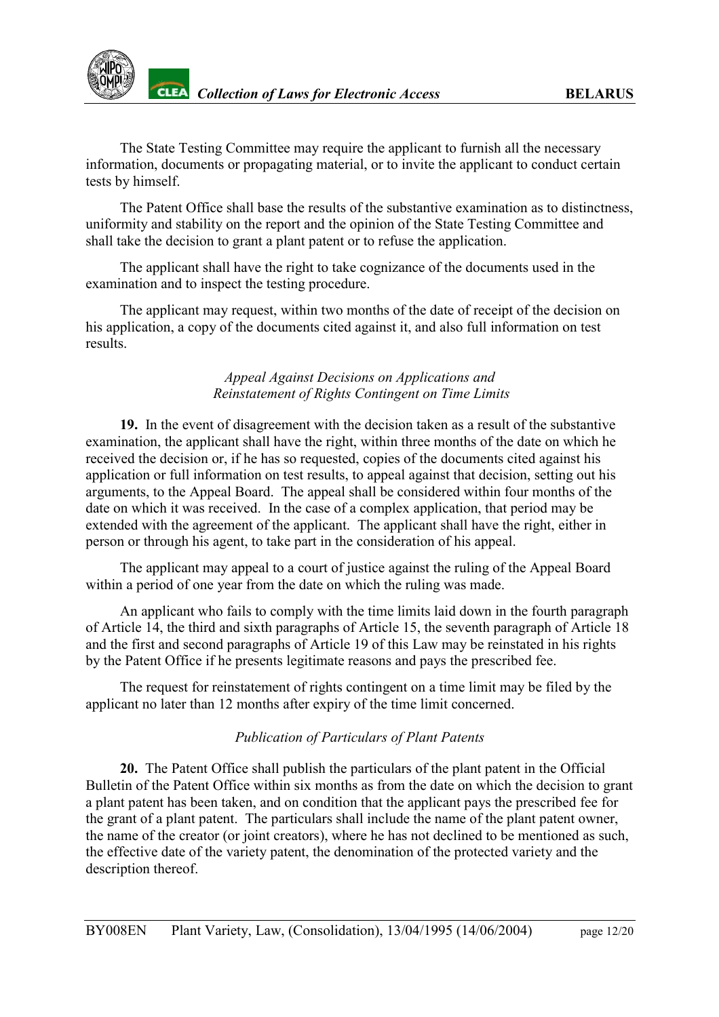The State Testing Committee may require the applicant to furnish all the necessary information, documents or propagating material, or to invite the applicant to conduct certain tests by himself.

The Patent Office shall base the results of the substantive examination as to distinctness, uniformity and stability on the report and the opinion of the State Testing Committee and shall take the decision to grant a plant patent or to refuse the application.

The applicant shall have the right to take cognizance of the documents used in the examination and to inspect the testing procedure.

The applicant may request, within two months of the date of receipt of the decision on his application, a copy of the documents cited against it, and also full information on test results.

### *Appeal Against Decisions on Applications and Reinstatement of Rights Contingent on Time Limits*

<span id="page-11-0"></span>**19.** In the event of disagreement with the decision taken as a result of the substantive examination, the applicant shall have the right, within three months of the date on which he received the decision or, if he has so requested, copies of the documents cited against his application or full information on test results, to appeal against that decision, setting out his arguments, to the Appeal Board. The appeal shall be considered within four months of the date on which it was received. In the case of a complex application, that period may be extended with the agreement of the applicant. The applicant shall have the right, either in person or through his agent, to take part in the consideration of his appeal.

The applicant may appeal to a court of justice against the ruling of the Appeal Board within a period of one year from the date on which the ruling was made.

An applicant who fails to comply with the time limits laid down in the fourth paragraph of Article 14, the third and sixth paragraphs of Article 15, the seventh paragraph of Article 18 and the first and second paragraphs of Article 19 of this Law may be reinstated in his rights by the Patent Office if he presents legitimate reasons and pays the prescribed fee.

The request for reinstatement of rights contingent on a time limit may be filed by the applicant no later than 12 months after expiry of the time limit concerned.

## *Publication of Particulars of Plant Patents*

<span id="page-11-1"></span>**20.** The Patent Office shall publish the particulars of the plant patent in the Official Bulletin of the Patent Office within six months as from the date on which the decision to grant a plant patent has been taken, and on condition that the applicant pays the prescribed fee for the grant of a plant patent. The particulars shall include the name of the plant patent owner, the name of the creator (or joint creators), where he has not declined to be mentioned as such, the effective date of the variety patent, the denomination of the protected variety and the description thereof.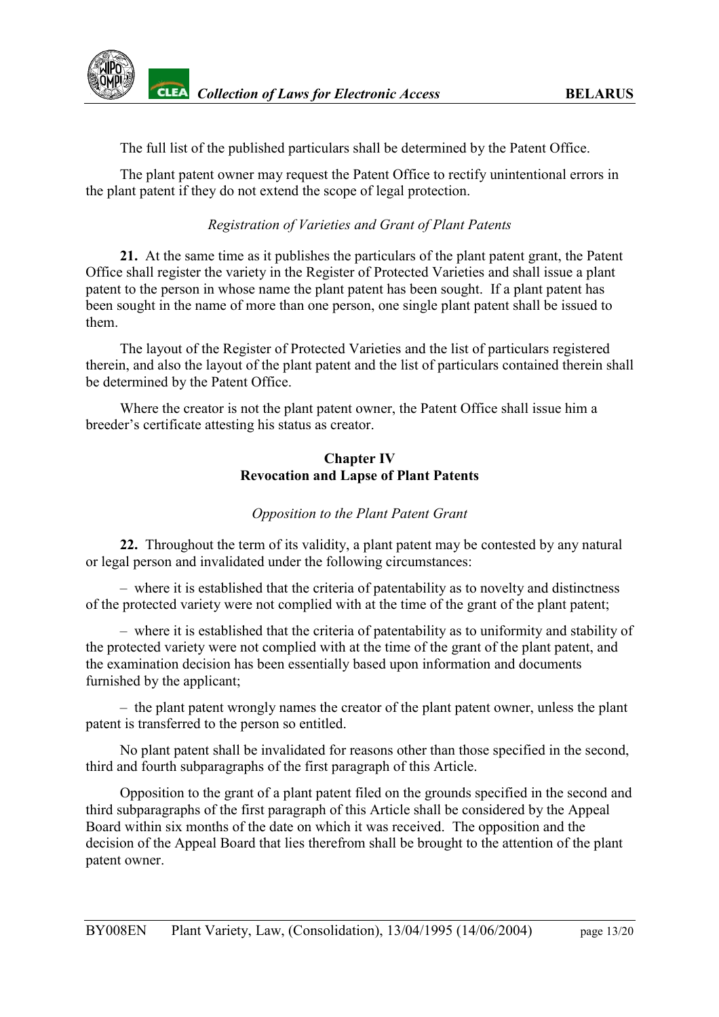

The full list of the published particulars shall be determined by the Patent Office.

The plant patent owner may request the Patent Office to rectify unintentional errors in the plant patent if they do not extend the scope of legal protection.

### *Registration of Varieties and Grant of Plant Patents*

<span id="page-12-0"></span>**21.** At the same time as it publishes the particulars of the plant patent grant, the Patent Office shall register the variety in the Register of Protected Varieties and shall issue a plant patent to the person in whose name the plant patent has been sought. If a plant patent has been sought in the name of more than one person, one single plant patent shall be issued to them.

The layout of the Register of Protected Varieties and the list of particulars registered therein, and also the layout of the plant patent and the list of particulars contained therein shall be determined by the Patent Office.

Where the creator is not the plant patent owner, the Patent Office shall issue him a breeder's certificate attesting his status as creator.

### **Chapter IV Revocation and Lapse of Plant Patents**

### *Opposition to the Plant Patent Grant*

<span id="page-12-1"></span>**22.** Throughout the term of its validity, a plant patent may be contested by any natural or legal person and invalidated under the following circumstances:

– where it is established that the criteria of patentability as to novelty and distinctness of the protected variety were not complied with at the time of the grant of the plant patent;

– where it is established that the criteria of patentability as to uniformity and stability of the protected variety were not complied with at the time of the grant of the plant patent, and the examination decision has been essentially based upon information and documents furnished by the applicant;

– the plant patent wrongly names the creator of the plant patent owner, unless the plant patent is transferred to the person so entitled.

No plant patent shall be invalidated for reasons other than those specified in the second, third and fourth subparagraphs of the first paragraph of this Article.

Opposition to the grant of a plant patent filed on the grounds specified in the second and third subparagraphs of the first paragraph of this Article shall be considered by the Appeal Board within six months of the date on which it was received. The opposition and the decision of the Appeal Board that lies therefrom shall be brought to the attention of the plant patent owner.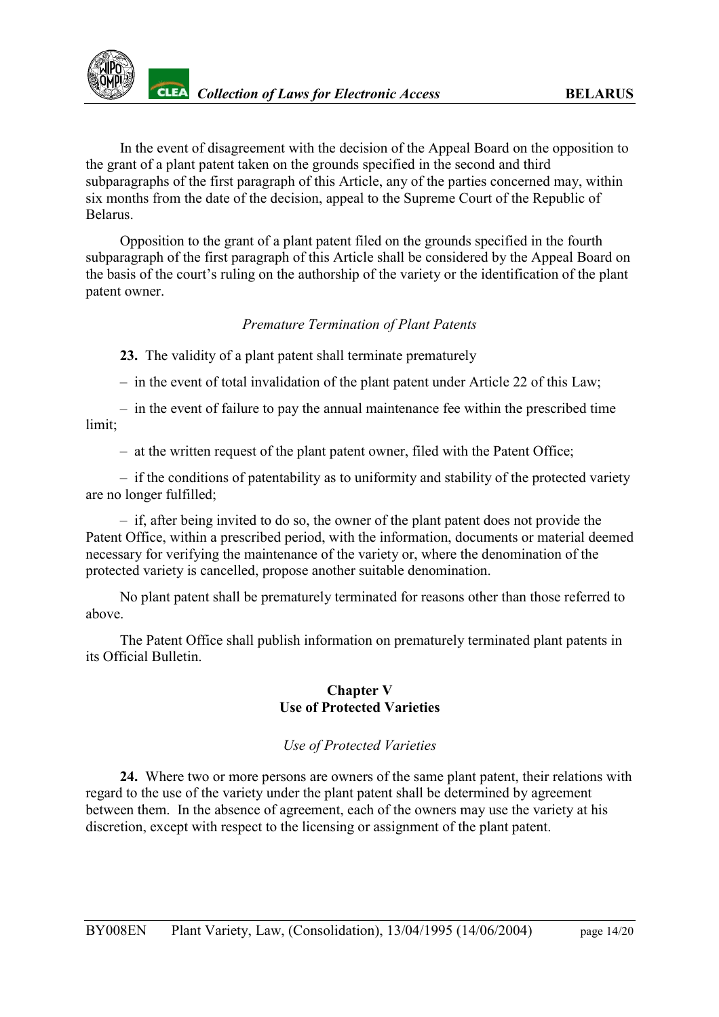

In the event of disagreement with the decision of the Appeal Board on the opposition to the grant of a plant patent taken on the grounds specified in the second and third subparagraphs of the first paragraph of this Article, any of the parties concerned may, within six months from the date of the decision, appeal to the Supreme Court of the Republic of Belarus.

Opposition to the grant of a plant patent filed on the grounds specified in the fourth subparagraph of the first paragraph of this Article shall be considered by the Appeal Board on the basis of the court's ruling on the authorship of the variety or the identification of the plant patent owner.

### *Premature Termination of Plant Patents*

<span id="page-13-0"></span>**23.** The validity of a plant patent shall terminate prematurely

– in the event of total invalidation of the plant patent under Article 22 of this Law;

– in the event of failure to pay the annual maintenance fee within the prescribed time limit;

– at the written request of the plant patent owner, filed with the Patent Office;

– if the conditions of patentability as to uniformity and stability of the protected variety are no longer fulfilled;

– if, after being invited to do so, the owner of the plant patent does not provide the Patent Office, within a prescribed period, with the information, documents or material deemed necessary for verifying the maintenance of the variety or, where the denomination of the protected variety is cancelled, propose another suitable denomination.

No plant patent shall be prematurely terminated for reasons other than those referred to above.

The Patent Office shall publish information on prematurely terminated plant patents in its Official Bulletin.

#### **Chapter V Use of Protected Varieties**

### *Use of Protected Varieties*

<span id="page-13-1"></span>**24.** Where two or more persons are owners of the same plant patent, their relations with regard to the use of the variety under the plant patent shall be determined by agreement between them. In the absence of agreement, each of the owners may use the variety at his discretion, except with respect to the licensing or assignment of the plant patent.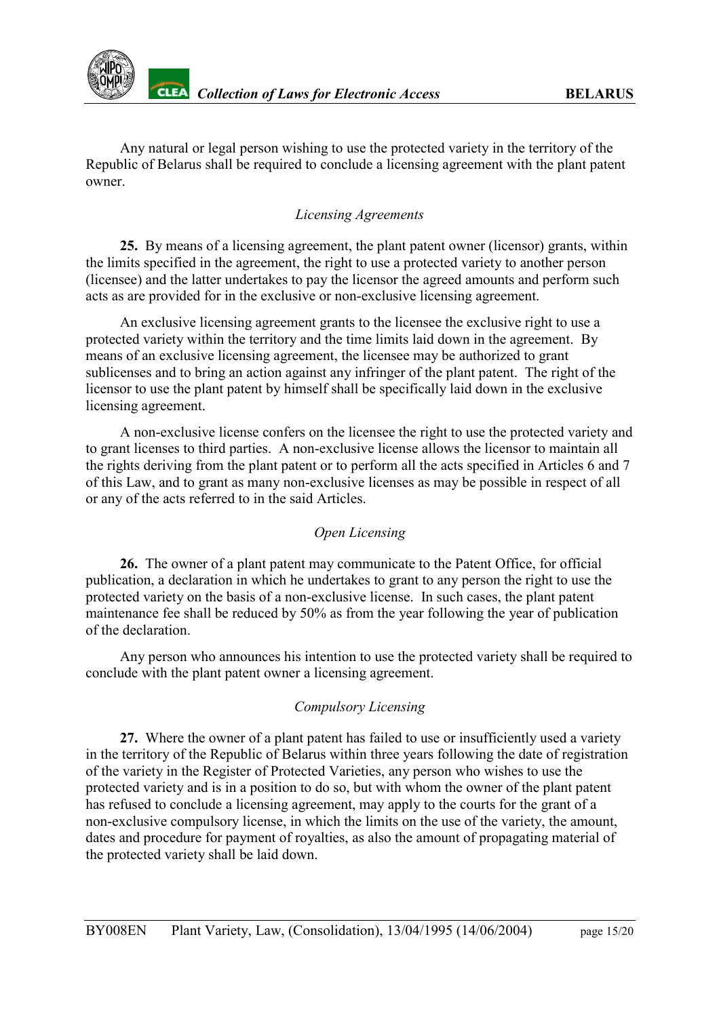

Any natural or legal person wishing to use the protected variety in the territory of the Republic of Belarus shall be required to conclude a licensing agreement with the plant patent owner.

### *Licensing Agreements*

<span id="page-14-0"></span>**25.** By means of a licensing agreement, the plant patent owner (licensor) grants, within the limits specified in the agreement, the right to use a protected variety to another person (licensee) and the latter undertakes to pay the licensor the agreed amounts and perform such acts as are provided for in the exclusive or non-exclusive licensing agreement.

An exclusive licensing agreement grants to the licensee the exclusive right to use a protected variety within the territory and the time limits laid down in the agreement. By means of an exclusive licensing agreement, the licensee may be authorized to grant sublicenses and to bring an action against any infringer of the plant patent. The right of the licensor to use the plant patent by himself shall be specifically laid down in the exclusive licensing agreement.

A non-exclusive license confers on the licensee the right to use the protected variety and to grant licenses to third parties. A non-exclusive license allows the licensor to maintain all the rights deriving from the plant patent or to perform all the acts specified in Articles 6 and 7 of this Law, and to grant as many non-exclusive licenses as may be possible in respect of all or any of the acts referred to in the said Articles.

#### *Open Licensing*

<span id="page-14-1"></span>26. The owner of a plant patent may communicate to the Patent Office, for official publication, a declaration in which he undertakes to grant to any person the right to use the protected variety on the basis of a non-exclusive license. In such cases, the plant patent maintenance fee shall be reduced by 50% as from the year following the year of publication of the declaration.

Any person who announces his intention to use the protected variety shall be required to conclude with the plant patent owner a licensing agreement.

### *Compulsory Licensing*

<span id="page-14-2"></span>**27.** Where the owner of a plant patent has failed to use or insufficiently used a variety in the territory of the Republic of Belarus within three years following the date of registration of the variety in the Register of Protected Varieties, any person who wishes to use the protected variety and is in a position to do so, but with whom the owner of the plant patent has refused to conclude a licensing agreement, may apply to the courts for the grant of a non-exclusive compulsory license, in which the limits on the use of the variety, the amount, dates and procedure for payment of royalties, as also the amount of propagating material of the protected variety shall be laid down.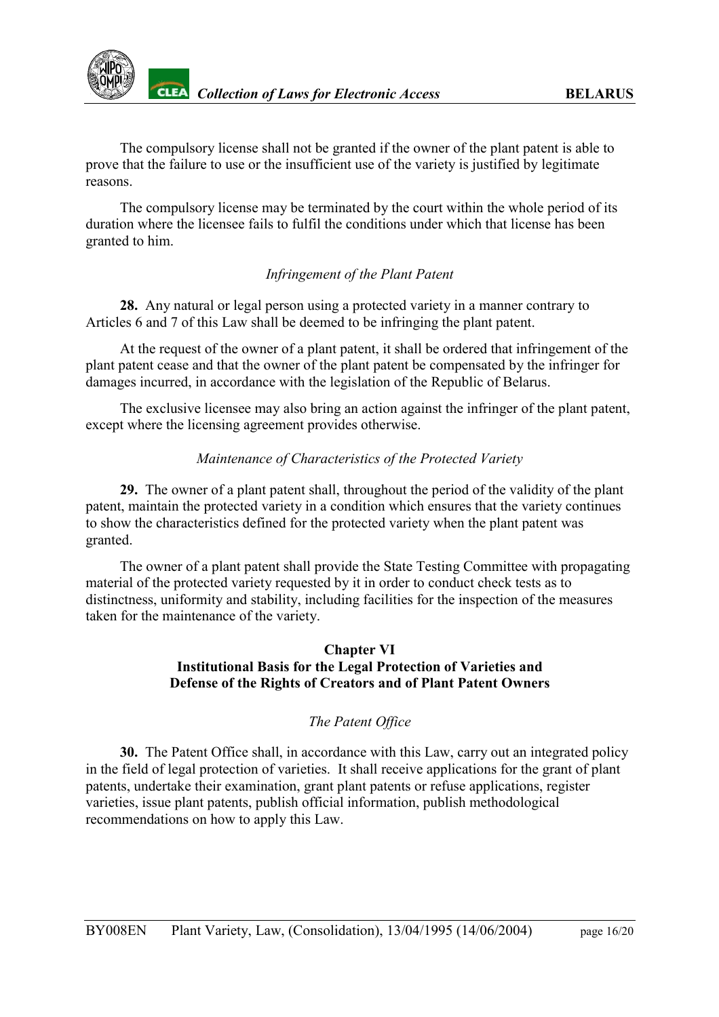

The compulsory license shall not be granted if the owner of the plant patent is able to prove that the failure to use or the insufficient use of the variety is justified by legitimate reasons.

The compulsory license may be terminated by the court within the whole period of its duration where the licensee fails to fulfil the conditions under which that license has been granted to him.

### *Infringement of the Plant Patent*

<span id="page-15-0"></span>**28.** Any natural or legal person using a protected variety in a manner contrary to Articles 6 and 7 of this Law shall be deemed to be infringing the plant patent.

At the request of the owner of a plant patent, it shall be ordered that infringement of the plant patent cease and that the owner of the plant patent be compensated by the infringer for damages incurred, in accordance with the legislation of the Republic of Belarus.

The exclusive licensee may also bring an action against the infringer of the plant patent, except where the licensing agreement provides otherwise.

#### *Maintenance of Characteristics of the Protected Variety*

<span id="page-15-1"></span>**29.** The owner of a plant patent shall, throughout the period of the validity of the plant patent, maintain the protected variety in a condition which ensures that the variety continues to show the characteristics defined for the protected variety when the plant patent was granted.

The owner of a plant patent shall provide the State Testing Committee with propagating material of the protected variety requested by it in order to conduct check tests as to distinctness, uniformity and stability, including facilities for the inspection of the measures taken for the maintenance of the variety.

### **Chapter VI Institutional Basis for the Legal Protection of Varieties and Defense of the Rights of Creators and of Plant Patent Owners**

### *The Patent Office*

<span id="page-15-2"></span>**30.** The Patent Office shall, in accordance with this Law, carry out an integrated policy in the field of legal protection of varieties. It shall receive applications for the grant of plant patents, undertake their examination, grant plant patents or refuse applications, register varieties, issue plant patents, publish official information, publish methodological recommendations on how to apply this Law.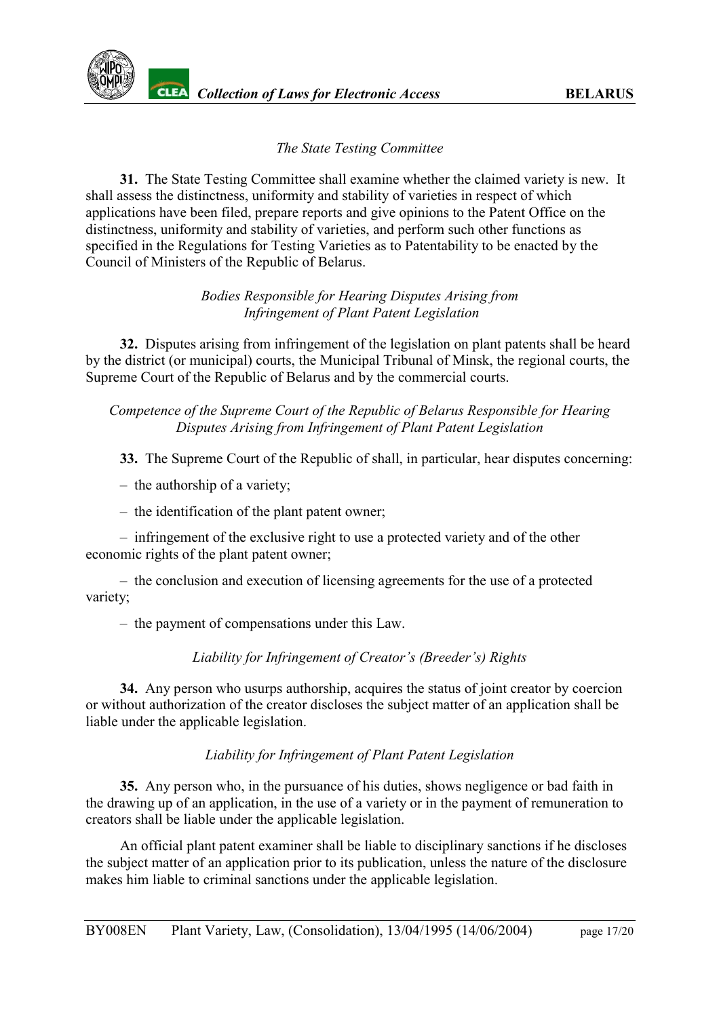### *The State Testing Committee*

<span id="page-16-0"></span>**31.** The State Testing Committee shall examine whether the claimed variety is new. It shall assess the distinctness, uniformity and stability of varieties in respect of which applications have been filed, prepare reports and give opinions to the Patent Office on the distinctness, uniformity and stability of varieties, and perform such other functions as specified in the Regulations for Testing Varieties as to Patentability to be enacted by the Council of Ministers of the Republic of Belarus.

### *Bodies Responsible for Hearing Disputes Arising from Infringement of Plant Patent Legislation*

<span id="page-16-1"></span>**32.** Disputes arising from infringement of the legislation on plant patents shall be heard by the district (or municipal) courts, the Municipal Tribunal of Minsk, the regional courts, the Supreme Court of the Republic of Belarus and by the commercial courts.

#### *Competence of the Supreme Court of the Republic of Belarus Responsible for Hearing Disputes Arising from Infringement of Plant Patent Legislation*

<span id="page-16-2"></span>**33.** The Supreme Court of the Republic of shall, in particular, hear disputes concerning:

- the authorship of a variety;
- the identification of the plant patent owner;

– infringement of the exclusive right to use a protected variety and of the other economic rights of the plant patent owner;

– the conclusion and execution of licensing agreements for the use of a protected variety;

– the payment of compensations under this Law.

### *Liability for Infringement of Creator's (Breeder's) Rights*

<span id="page-16-3"></span>**34.** Any person who usurps authorship, acquires the status of joint creator by coercion or without authorization of the creator discloses the subject matter of an application shall be liable under the applicable legislation.

### *Liability for Infringement of Plant Patent Legislation*

<span id="page-16-4"></span>**35.** Any person who, in the pursuance of his duties, shows negligence or bad faith in the drawing up of an application, in the use of a variety or in the payment of remuneration to creators shall be liable under the applicable legislation.

An official plant patent examiner shall be liable to disciplinary sanctions if he discloses the subject matter of an application prior to its publication, unless the nature of the disclosure makes him liable to criminal sanctions under the applicable legislation.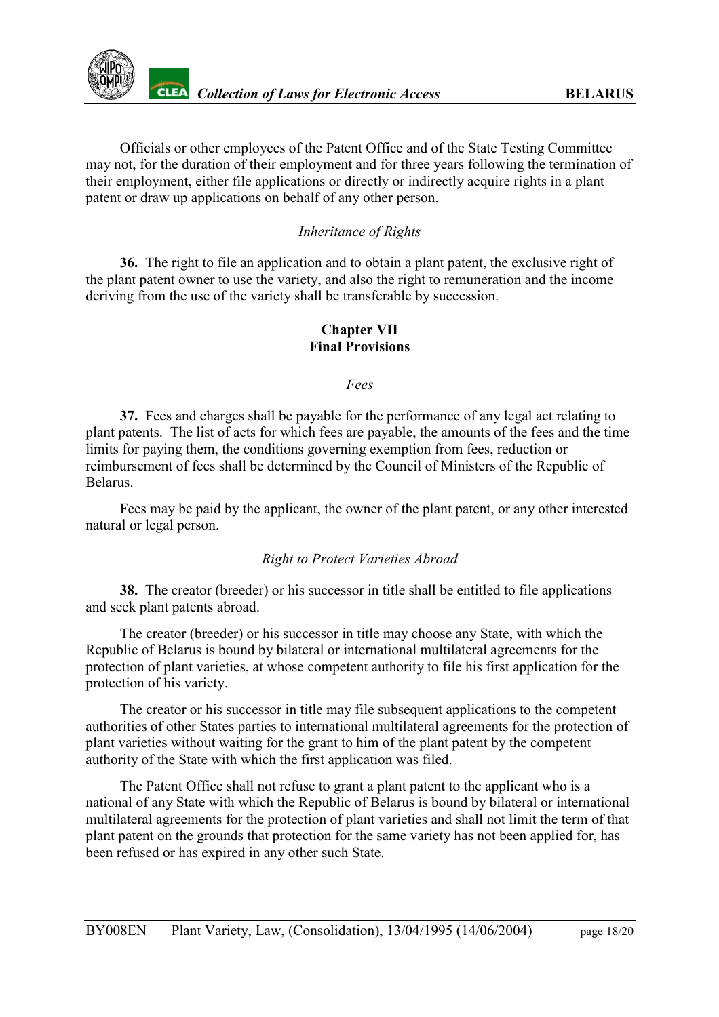

Officials or other employees of the Patent Office and of the State Testing Committee may not, for the duration of their employment and for three years following the termination of their employment, either file applications or directly or indirectly acquire rights in a plant patent or draw up applications on behalf of any other person.

### *Inheritance of Rights*

<span id="page-17-0"></span>**36.** The right to file an application and to obtain a plant patent, the exclusive right of the plant patent owner to use the variety, and also the right to remuneration and the income deriving from the use of the variety shall be transferable by succession.

#### **Chapter VII Final Provisions**

*Fees*

<span id="page-17-1"></span>**37.** Fees and charges shall be payable for the performance of any legal act relating to plant patents. The list of acts for which fees are payable, the amounts of the fees and the time limits for paying them, the conditions governing exemption from fees, reduction or reimbursement of fees shall be determined by the Council of Ministers of the Republic of Belarus.

Fees may be paid by the applicant, the owner of the plant patent, or any other interested natural or legal person.

#### *Right to Protect Varieties Abroad*

<span id="page-17-2"></span>**38.** The creator (breeder) or his successor in title shall be entitled to file applications and seek plant patents abroad.

The creator (breeder) or his successor in title may choose any State, with which the Republic of Belarus is bound by bilateral or international multilateral agreements for the protection of plant varieties, at whose competent authority to file his first application for the protection of his variety.

The creator or his successor in title may file subsequent applications to the competent authorities of other States parties to international multilateral agreements for the protection of plant varieties without waiting for the grant to him of the plant patent by the competent authority of the State with which the first application was filed.

The Patent Office shall not refuse to grant a plant patent to the applicant who is a national of any State with which the Republic of Belarus is bound by bilateral or international multilateral agreements for the protection of plant varieties and shall not limit the term of that plant patent on the grounds that protection for the same variety has not been applied for, has been refused or has expired in any other such State.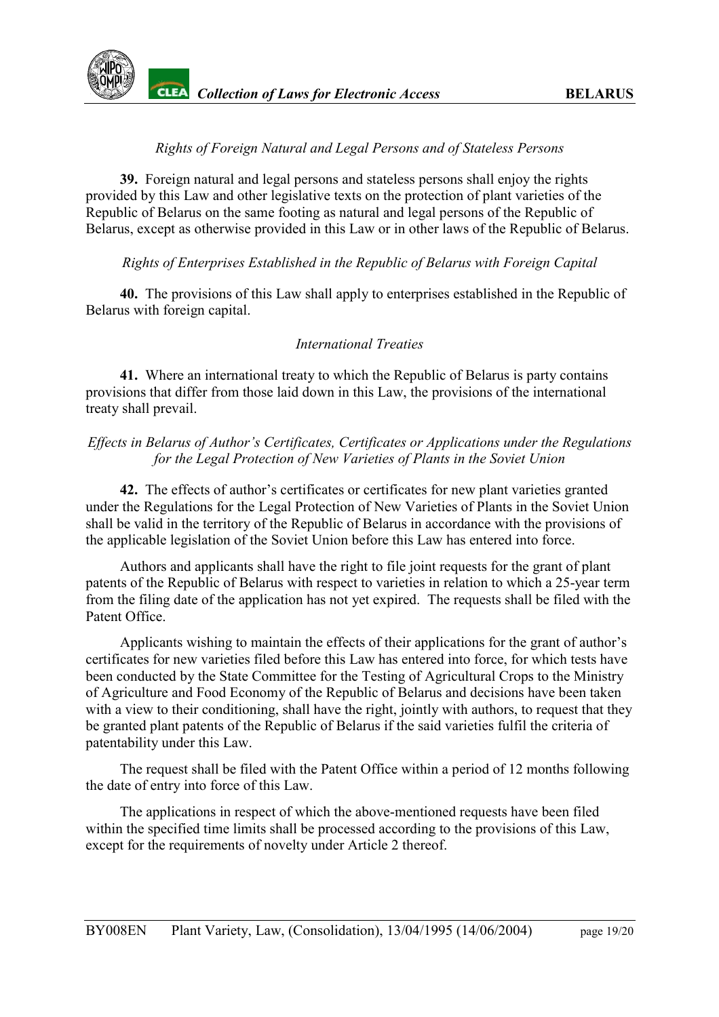

### *Rights of Foreign Natural and Legal Persons and of Stateless Persons*

<span id="page-18-0"></span>**39.** Foreign natural and legal persons and stateless persons shall enjoy the rights provided by this Law and other legislative texts on the protection of plant varieties of the Republic of Belarus on the same footing as natural and legal persons of the Republic of Belarus, except as otherwise provided in this Law or in other laws of the Republic of Belarus.

#### <span id="page-18-1"></span>*Rights of Enterprises Established in the Republic of Belarus with Foreign Capital*

**40.** The provisions of this Law shall apply to enterprises established in the Republic of Belarus with foreign capital.

#### *International Treaties*

<span id="page-18-2"></span>**41.** Where an international treaty to which the Republic of Belarus is party contains provisions that differ from those laid down in this Law, the provisions of the international treaty shall prevail.

### *Effects in Belarus of Author's Certificates, Certificates or Applications under the Regulations for the Legal Protection of New Varieties of Plants in the Soviet Union*

<span id="page-18-3"></span>**42.** The effects of author's certificates or certificates for new plant varieties granted under the Regulations for the Legal Protection of New Varieties of Plants in the Soviet Union shall be valid in the territory of the Republic of Belarus in accordance with the provisions of the applicable legislation of the Soviet Union before this Law has entered into force.

Authors and applicants shall have the right to file joint requests for the grant of plant patents of the Republic of Belarus with respect to varieties in relation to which a 25-year term from the filing date of the application has not yet expired. The requests shall be filed with the Patent Office.

Applicants wishing to maintain the effects of their applications for the grant of author's certificates for new varieties filed before this Law has entered into force, for which tests have been conducted by the State Committee for the Testing of Agricultural Crops to the Ministry of Agriculture and Food Economy of the Republic of Belarus and decisions have been taken with a view to their conditioning, shall have the right, jointly with authors, to request that they be granted plant patents of the Republic of Belarus if the said varieties fulfil the criteria of patentability under this Law.

The request shall be filed with the Patent Office within a period of 12 months following the date of entry into force of this Law.

The applications in respect of which the above-mentioned requests have been filed within the specified time limits shall be processed according to the provisions of this Law, except for the requirements of novelty under Article 2 thereof.